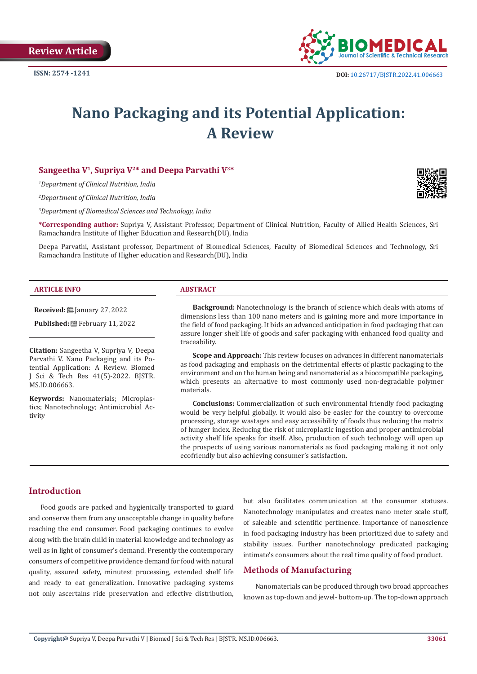

# **Nano Packaging and its Potential Application: A Review**

## **Sangeetha V1, Supriya V2\* and Deepa Parvathi V3\***

*1 Department of Clinical Nutrition, India*

*2 Department of Clinical Nutrition, India*

*3 Department of Biomedical Sciences and Technology, India*

**\*Corresponding author:** Supriya V, Assistant Professor, Department of Clinical Nutrition, Faculty of Allied Health Sciences, Sri Ramachandra Institute of Higher Education and Research(DU), India

Deepa Parvathi, Assistant professor, Department of Biomedical Sciences, Faculty of Biomedical Sciences and Technology, Sri Ramachandra Institute of Higher education and Research(DU), India

#### **ARTICLE INFO ABSTRACT**

**Received:** January 27, 2022

Published: **■**February 11, 2022

**Citation:** Sangeetha V, Supriya V, Deepa Parvathi V. Nano Packaging and its Potential Application: A Review. Biomed J Sci & Tech Res 41(5)-2022. BJSTR. MS.ID.006663.

**Keywords:** Nanomaterials; Microplastics; Nanotechnology; Antimicrobial Activity

**Background:** Nanotechnology is the branch of science which deals with atoms of dimensions less than 100 nano meters and is gaining more and more importance in the field of food packaging. It bids an advanced anticipation in food packaging that can assure longer shelf life of goods and safer packaging with enhanced food quality and traceability.

**Scope and Approach:** This review focuses on advances in different nanomaterials as food packaging and emphasis on the detrimental effects of plastic packaging to the environment and on the human being and nanomaterial as a biocompatible packaging, which presents an alternative to most commonly used non-degradable polymer materials.

**Conclusions:** Commercialization of such environmental friendly food packaging would be very helpful globally. It would also be easier for the country to overcome processing, storage wastages and easy accessibility of foods thus reducing the matrix of hunger index. Reducing the risk of microplastic ingestion and proper antimicrobial activity shelf life speaks for itself. Also, production of such technology will open up the prospects of using various nanomaterials as food packaging making it not only ecofriendly but also achieving consumer's satisfaction.

# **Introduction**

Food goods are packed and hygienically transported to guard and conserve them from any unacceptable change in quality before reaching the end consumer. Food packaging continues to evolve along with the brain child in material knowledge and technology as well as in light of consumer's demand. Presently the contemporary consumers of competitive providence demand for food with natural quality, assured safety, minutest processing, extended shelf life and ready to eat generalization. Innovative packaging systems not only ascertains ride preservation and effective distribution, but also facilitates communication at the consumer statuses. Nanotechnology manipulates and creates nano meter scale stuff, of saleable and scientific pertinence. Importance of nanoscience in food packaging industry has been prioritized due to safety and stability issues. Further nanotechnology predicated packaging intimate's consumers about the real time quality of food product.

#### **Methods of Manufacturing**

Nanomaterials can be produced through two broad approaches known as top-down and jewel- bottom-up. The top-down approach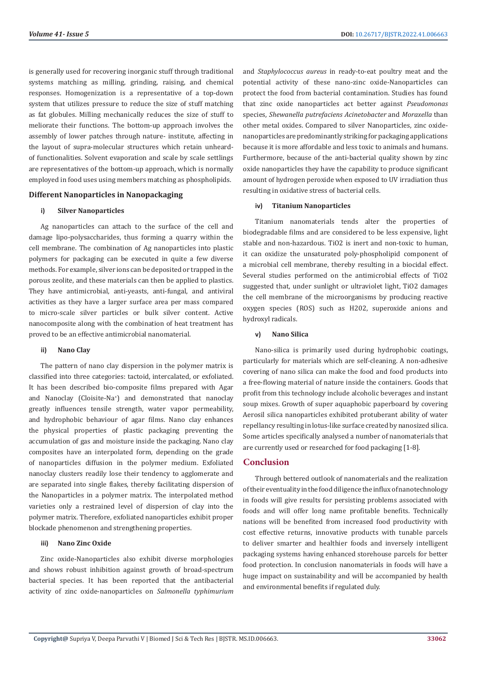is generally used for recovering inorganic stuff through traditional systems matching as milling, grinding, raising, and chemical responses. Homogenization is a representative of a top-down system that utilizes pressure to reduce the size of stuff matching as fat globules. Milling mechanically reduces the size of stuff to meliorate their functions. The bottom-up approach involves the assembly of lower patches through nature- institute, affecting in the layout of supra-molecular structures which retain unheardof functionalities. Solvent evaporation and scale by scale settlings are representatives of the bottom-up approach, which is normally employed in food uses using members matching as phospholipids.

#### **Different Nanoparticles in Nanopackaging**

#### **i) Silver Nanoparticles**

Ag nanoparticles can attach to the surface of the cell and damage lipo-polysaccharides, thus forming a quarry within the cell membrane. The combination of Ag nanoparticles into plastic polymers for packaging can be executed in quite a few diverse methods. For example, silver ions can be deposited or trapped in the porous zeolite, and these materials can then be applied to plastics. They have antimicrobial, anti-yeasts, anti-fungal, and antiviral activities as they have a larger surface area per mass compared to micro-scale silver particles or bulk silver content. Active nanocomposite along with the combination of heat treatment has proved to be an effective antimicrobial nanomaterial.

#### **ii) Nano Clay**

The pattern of nano clay dispersion in the polymer matrix is classified into three categories: tactoid, intercalated, or exfoliated. It has been described bio-composite films prepared with Agar and Nanoclay (Cloisite-Na+ ) and demonstrated that nanoclay greatly influences tensile strength, water vapor permeability, and hydrophobic behaviour of agar films. Nano clay enhances the physical properties of plastic packaging preventing the accumulation of gas and moisture inside the packaging. Nano clay composites have an interpolated form, depending on the grade of nanoparticles diffusion in the polymer medium. Exfoliated nanoclay clusters readily lose their tendency to agglomerate and are separated into single flakes, thereby facilitating dispersion of the Nanoparticles in a polymer matrix. The interpolated method varieties only a restrained level of dispersion of clay into the polymer matrix. Therefore, exfoliated nanoparticles exhibit proper blockade phenomenon and strengthening properties.

#### **iii) Nano Zinc Oxide**

Zinc oxide-Nanoparticles also exhibit diverse morphologies and shows robust inhibition against growth of broad-spectrum bacterial species. It has been reported that the antibacterial activity of zinc oxide-nanoparticles on *Salmonella typhimurium*

and *Staphylococcus aureus* in ready-to-eat poultry meat and the potential activity of these nano-zinc oxide-Nanoparticles can protect the food from bacterial contamination. Studies has found that zinc oxide nanoparticles act better against *Pseudomonas* species, *Shewanella putrefaciens Acinetobacter* and *Moraxella* than other metal oxides. Compared to silver Nanoparticles, zinc oxidenanoparticles are predominantly striking for packaging applications because it is more affordable and less toxic to animals and humans. Furthermore, because of the anti-bacterial quality shown by zinc oxide nanoparticles they have the capability to produce significant amount of hydrogen peroxide when exposed to UV irradiation thus resulting in oxidative stress of bacterial cells.

#### **iv) Titanium Nanoparticles**

Titanium nanomaterials tends alter the properties of biodegradable films and are considered to be less expensive, light stable and non-hazardous. TiO2 is inert and non-toxic to human, it can oxidize the unsaturated poly-phospholipid component of a microbial cell membrane, thereby resulting in a biocidal effect. Several studies performed on the antimicrobial effects of TiO2 suggested that, under sunlight or ultraviolet light, TiO2 damages the cell membrane of the microorganisms by producing reactive oxygen species (ROS) such as H202, superoxide anions and hydroxyl radicals.

#### **v) Nano Silica**

Nano-silica is primarily used during hydrophobic coatings, particularly for materials which are self-cleaning. A non-adhesive covering of nano silica can make the food and food products into a free-flowing material of nature inside the containers. Goods that profit from this technology include alcoholic beverages and instant soup mixes. Growth of super aquaphobic paperboard by covering Aerosil silica nanoparticles exhibited protuberant ability of water repellancy resulting in lotus-like surface created by nanosized silica. Some articles specifically analysed a number of nanomaterials that are currently used or researched for food packaging [1-8].

### **Conclusion**

Through bettered outlook of nanomaterials and the realization of their eventuality in the food diligence the influx of nanotechnology in foods will give results for persisting problems associated with foods and will offer long name profitable benefits. Technically nations will be benefited from increased food productivity with cost effective returns, innovative products with tunable parcels to deliver smarter and healthier foods and inversely intelligent packaging systems having enhanced storehouse parcels for better food protection. In conclusion nanomaterials in foods will have a huge impact on sustainability and will be accompanied by health and environmental benefits if regulated duly.